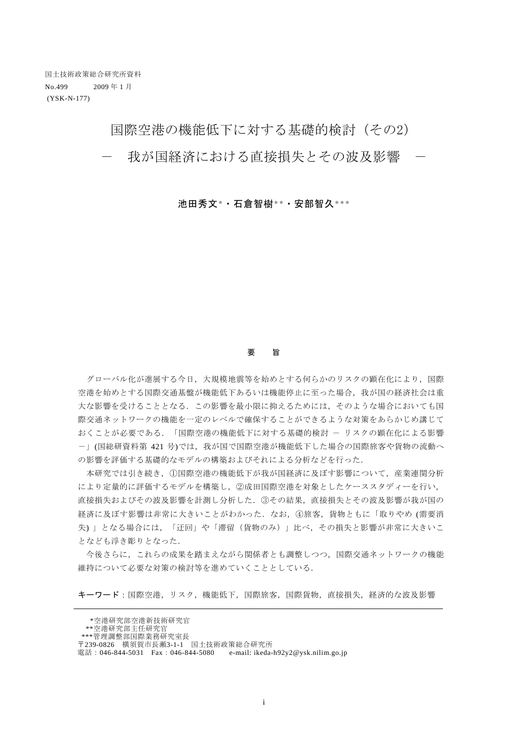# 国際空港の機能低下に対する基礎的検討(その2)

我が国経済における直接損失とその波及影響

池田秀文\*・石倉智樹\*\*・安部智久\*\*\*

#### 要 旨

グローバル化が進展する今日,大規模地震等を始めとする何らかのリスクの顕在化により,国際 空港を始めとする国際交通基盤が機能低下あるいは機能停止に至った場合,我が国の経済社会は重 大な影響を受けることとなる.この影響を最小限に抑えるためには,そのような場合においても国 際交通ネットワークの機能を一定のレベルで確保することができるような対策をあらかじめ講じて おくことが必要である.「国際空港の機能低下に対する基礎的検討 - リスクの顕在化による影響 -」(国総研資料第 421 号)では,我が国で国際空港が機能低下した場合の国際旅客や貨物の流動へ の影響を評価する基礎的なモデルの構築およびそれによる分析などを行った.

 本研究では引き続き,①国際空港の機能低下が我が国経済に及ぼす影響について,産業連関分析 により定量的に評価するモデルを構築し,②成田国際空港を対象としたケーススタディーを行い, 直接損失およびその波及影響を計測し分析した.③その結果,直接損失とその波及影響が我が国の 経済に及ぼす影響は非常に大きいことがわかった.なお,④旅客,貨物ともに「取りやめ (需要消 失) 」となる場合には,「迂回」や「滞留(貨物のみ)」比べ,その損失と影響が非常に大きいこ となども浮き彫りとなった.

今後さらに,これらの成果を踏まえながら関係者とも調整しつつ,国際交通ネットワークの機能 維持について必要な対策の検討等を進めていくこととしている.

キーワード:国際空港,リスク,機能低下,国際旅客,国際貨物,直接損失,経済的な波及影響

 <sup>\*</sup>空港研究部空港新技術研究官

 <sup>\*\*</sup>空港研究部主任研究官

 <sup>\*\*\*</sup>管理調整部国際業務研究室長

<sup>〒</sup>239-0826 横須賀市長瀬3-1-1 国土技術政策総合研究所 電話: 046-844-5031 Fax: 046-844-5080